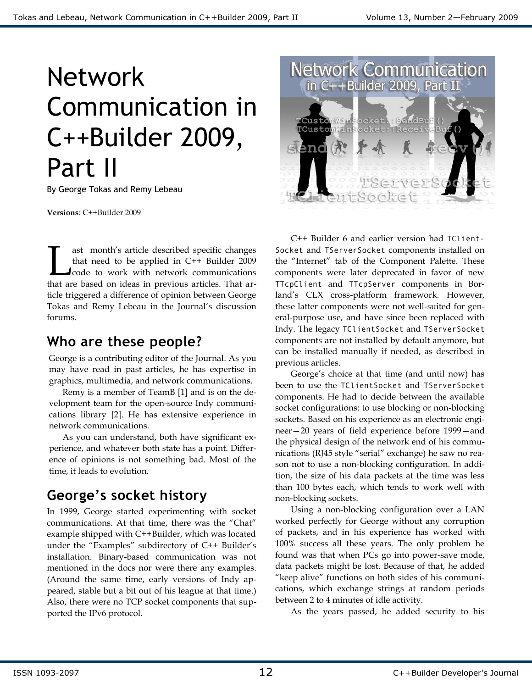# Network Communication in C++Builder 2009, Part II

By George Tokas and Remy Lebeau

**Versions**: C++Builder 2009

ast month's article described specific changes that need to be applied in C++ Builder 2009 code to work with network communications ast month's article described specific changes<br>that need to be applied in C++ Builder 2009<br>code to work with network communications<br>that are based on ideas in previous articles. That article triggered a difference of opinion between George Tokas and Remy Lebeau in the Journal's discussion forums.

## **Who are these people?**

George is a contributing editor of the Journal. As you may have read in past articles, he has expertise in graphics, multimedia, and network communications.

Remy is a member of TeamB [1] and is on the development team for the open-source Indy communications library [2]. He has extensive experience in network communications.

As you can understand, both have significant experience, and whatever both state has a point. Difference of opinions is not something bad. Most of the time, it leads to evolution.

# **George's socket history**

In 1999, George started experimenting with socket communications. At that time, there was the "Chat" example shipped with C++Builder, which was located under the "Examples" subdirectory of  $C++$  Builder's installation. Binary-based communication was not mentioned in the docs nor were there any examples. (Around the same time, early versions of Indy appeared, stable but a bit out of his league at that time.) Also, there were no TCP socket components that supported the IPv6 protocol.



C++ Builder 6 and earlier version had TClient-Socket and TServerSocket components installed on the "Internet" tab of the Component Palette. These components were later deprecated in favor of new TTcpClient and TTcpServer components in Borland's CLX cross-platform framework. However, these latter components were not well-suited for general-purpose use, and have since been replaced with Indy. The legacy TClientSocket and TServerSocket components are not installed by default anymore, but can be installed manually if needed, as described in previous articles.

George's choice at that time (and until now) has been to use the TClientSocket and TServerSocket components. He had to decide between the available socket configurations: to use blocking or non-blocking sockets. Based on his experience as an electronic engineer—20 years of field experience before 1999—and the physical design of the network end of his communications (RJ45 style "serial" exchange) he saw no reason not to use a non-blocking configuration. In addition, the size of his data packets at the time was less than 100 bytes each, which tends to work well with non-blocking sockets.

Using a non-blocking configuration over a LAN worked perfectly for George without any corruption of packets, and in his experience has worked with 100% success all these years. The only problem he found was that when PCs go into power-save mode, data packets might be lost. Because of that, he added "keep alive" functions on both sides of his communications, which exchange strings at random periods between 2 to 4 minutes of idle activity.

As the years passed, he added security to his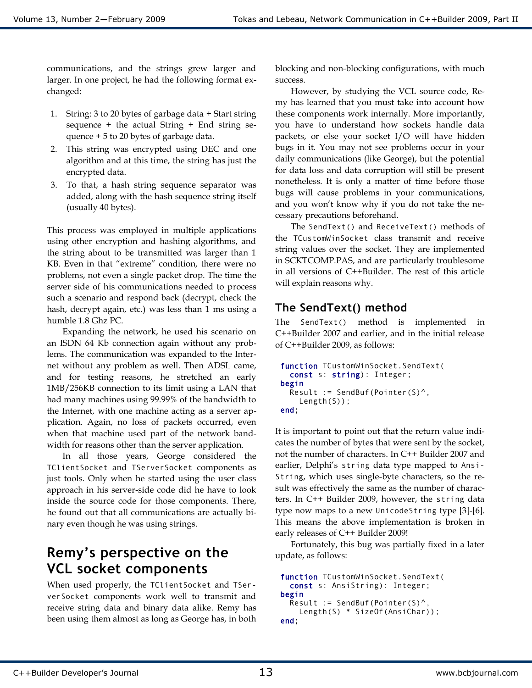communications, and the strings grew larger and larger. In one project, he had the following format exchanged:

- 1. String: 3 to 20 bytes of garbage data + Start string sequence  $+$  the actual String  $+$  End string sequence + 5 to 20 bytes of garbage data.
- 2. This string was encrypted using DEC and one algorithm and at this time, the string has just the encrypted data.
- 3. To that, a hash string sequence separator was added, along with the hash sequence string itself (usually 40 bytes).

This process was employed in multiple applications using other encryption and hashing algorithms, and the string about to be transmitted was larger than 1 KB. Even in that "extreme" condition, there were no problems, not even a single packet drop. The time the server side of his communications needed to process such a scenario and respond back (decrypt, check the hash, decrypt again, etc.) was less than 1 ms using a humble 1.8 Ghz PC.

Expanding the network, he used his scenario on an ISDN 64 Kb connection again without any problems. The communication was expanded to the Internet without any problem as well. Then ADSL came, and for testing reasons, he stretched an early 1MB/256KB connection to its limit using a LAN that had many machines using 99.99% of the bandwidth to the Internet, with one machine acting as a server application. Again, no loss of packets occurred, even when that machine used part of the network bandwidth for reasons other than the server application.

In all those years, George considered the TClientSocket and TServerSocket components as just tools. Only when he started using the user class approach in his server-side code did he have to look inside the source code for those components. There, he found out that all communications are actually binary even though he was using strings.

## **Remy's perspective on the VCL socket components**

When used properly, the TClientSocket and TServerSocket components work well to transmit and receive string data and binary data alike. Remy has been using them almost as long as George has, in both

blocking and non-blocking configurations, with much success.

However, by studying the VCL source code, Remy has learned that you must take into account how these components work internally. More importantly, you have to understand how sockets handle data packets, or else your socket I/O will have hidden bugs in it. You may not see problems occur in your daily communications (like George), but the potential for data loss and data corruption will still be present nonetheless. It is only a matter of time before those bugs will cause problems in your communications, and you won't know why if you do not take the necessary precautions beforehand.

The SendText() and ReceiveText() methods of the TCustomWinSocket class transmit and receive string values over the socket. They are implemented in SCKTCOMP.PAS, and are particularly troublesome in all versions of C++Builder. The rest of this article will explain reasons why.

#### **The SendText() method**

The SendText() method is implemented in C++Builder 2007 and earlier, and in the initial release of C++Builder 2009, as follows:

```
function TCustomWinSocket.SendText(
   const s: string): Integer;
begin 
  Result := SendBuf(Pointer(S)^{\wedge},
     Length(S));
end;
```
It is important to point out that the return value indicates the number of bytes that were sent by the socket, not the number of characters. In C++ Builder 2007 and earlier, Delphi's string data type mapped to Ansi-String, which uses single-byte characters, so the result was effectively the same as the number of characters. In C++ Builder 2009, however, the string data type now maps to a new UnicodeString type [3]-[6]. This means the above implementation is broken in early releases of C++ Builder 2009!

Fortunately, this bug was partially fixed in a later update, as follows:

```
function TCustomWinSocket.SendText(
   const s: AnsiString): Integer;
begin 
  Result := SendBuf(Pointer(S)^{\wedge},
     Length(S) * SizeOf(AnsiChar));
end;
```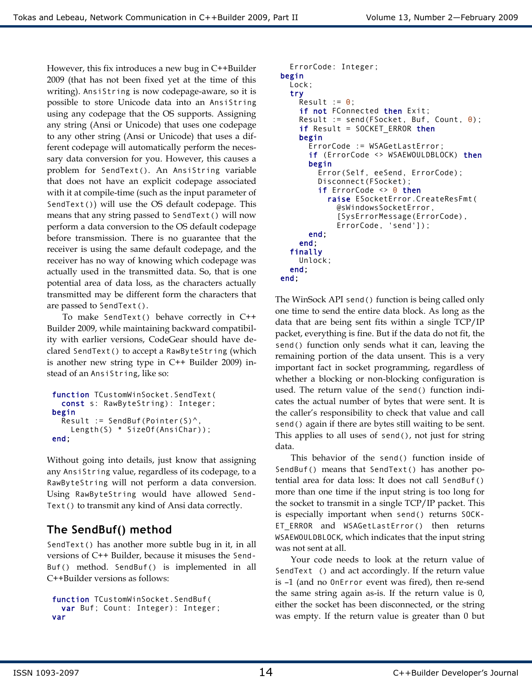However, this fix introduces a new bug in C++Builder 2009 (that has not been fixed yet at the time of this writing). AnsiString is now codepage-aware, so it is possible to store Unicode data into an AnsiString using any codepage that the OS supports. Assigning any string (Ansi or Unicode) that uses one codepage to any other string (Ansi or Unicode) that uses a different codepage will automatically perform the necessary data conversion for you. However, this causes a problem for SendText(). An AnsiString variable that does not have an explicit codepage associated with it at compile-time (such as the input parameter of SendText()) will use the OS default codepage. This means that any string passed to SendText() will now perform a data conversion to the OS default codepage before transmission. There is no guarantee that the receiver is using the same default codepage, and the receiver has no way of knowing which codepage was actually used in the transmitted data. So, that is one potential area of data loss, as the characters actually transmitted may be different form the characters that are passed to SendText().

To make SendText() behave correctly in C++ Builder 2009, while maintaining backward compatibility with earlier versions, CodeGear should have declared SendText() to accept a RawByteString (which is another new string type in C++ Builder 2009) instead of an AnsiString, like so:

```
function TCustomWinSocket.SendText(
   const s: RawByteString): Integer;
begin 
  Result := SendBuf(Pointer(S)^{\wedge},
     Length(S) * SizeOf(AnsiChar));
end;
```
Without going into details, just know that assigning any AnsiString value, regardless of its codepage, to a RawByteString will not perform a data conversion. Using RawByteString would have allowed Send-Text() to transmit any kind of Ansi data correctly.

### **The SendBuf() method**

SendText() has another more subtle bug in it, in all versions of C++ Builder, because it misuses the Send-Buf() method. SendBuf() is implemented in all C++Builder versions as follows:

```
function TCustomWinSocket.SendBuf(
  var Buf; Count: Integer): Integer;
var
```

```
 ErrorCode: Integer;
begin 
   Lock;
   try 
    Result := \theta;
    if not FConnected then Exit;
    Result := send(FSocket, Buf, Count, \theta);
    if Result = SOCKET_ERROR then
     begin 
       ErrorCode := WSAGetLastError;
      if (ErrorCode <> WSAEWOULDBLOCK) then
       begin 
          Error(Self, eeSend, ErrorCode);
          Disconnect(FSocket);
         if ErrorCode \leq 0 then
            raise ESocketError.CreateResFmt(
              @sWindowsSocketError,
              [SysErrorMessage(ErrorCode), 
              ErrorCode, 'send']);
       end; 
     end; 
   finally 
     Unlock;
   end; 
end;
```
The WinSock API send() function is being called only one time to send the entire data block. As long as the data that are being sent fits within a single TCP/IP packet, everything is fine. But if the data do not fit, the send() function only sends what it can, leaving the remaining portion of the data unsent. This is a very important fact in socket programming, regardless of whether a blocking or non-blocking configuration is used. The return value of the send() function indicates the actual number of bytes that were sent. It is the caller's responsibility to check that value and call send() again if there are bytes still waiting to be sent. This applies to all uses of send(), not just for string data.

This behavior of the send() function inside of SendBuf() means that SendText() has another potential area for data loss: It does not call SendBuf() more than one time if the input string is too long for the socket to transmit in a single TCP/IP packet. This is especially important when send() returns SOCK-ET\_ERROR and WSAGetLastError() then returns WSAEWOULDBLOCK, which indicates that the input string was not sent at all.

Your code needs to look at the return value of SendText () and act accordingly. If the return value is –1 (and no OnError event was fired), then re-send the same string again as-is. If the return value is 0, either the socket has been disconnected, or the string was empty. If the return value is greater than 0 but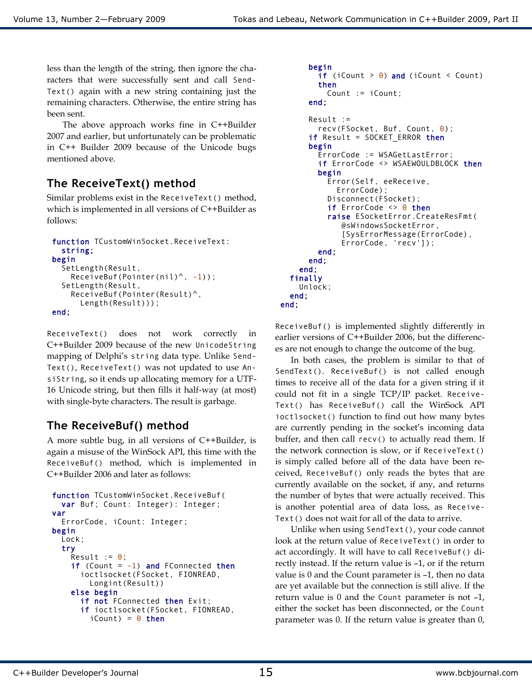less than the length of the string, then ignore the characters that were successfully sent and call Send-Text() again with a new string containing just the remaining characters. Otherwise, the entire string has been sent.

The above approach works fine in C++Builder 2007 and earlier, but unfortunately can be problematic in C++ Builder 2009 because of the Unicode bugs mentioned above.

#### **The ReceiveText() method**

Similar problems exist in the ReceiveText() method, which is implemented in all versions of C++Builder as follows:

```
function TCustomWinSocket.ReceiveText:
   string;
begin 
   SetLength(Result, 
    ReceiveBuf(Pointer(nil)\land, -1));
   SetLength(Result, 
     ReceiveBuf(Pointer(Result)^, 
       Length(Result)));
end;
```
ReceiveText() does not work correctly in C++Builder 2009 because of the new UnicodeString mapping of Delphi's string data type. Unlike Send-Text(), ReceiveText() was not updated to use AnsiString, so it ends up allocating memory for a UTF-16 Unicode string, but then fills it half-way (at most) with single-byte characters. The result is garbage.

#### **The ReceiveBuf() method**

A more subtle bug, in all versions of C++Builder, is again a misuse of the WinSock API, this time with the ReceiveBuf() method, which is implemented in C++Builder 2006 and later as follows:

```
function TCustomWinSocket.ReceiveBuf(
   var Buf; Count: Integer): Integer;
var 
   ErrorCode, iCount: Integer;
begin 
   Lock;
   try 
    Result := 0;
    if (Count = -1) and FConnected then
       ioctlsocket(FSocket, FIONREAD, 
         Longint(Result))
     else begin 
      if not FConnected then Exit;
       if ioctlsocket(FSocket, FIONREAD, 
         iCount) = \theta then
```

```
 begin 
         if (iCount > 0) and (iCount < Count)
          then
            Count := iCount;
        end; 
        Result := 
          recv(FSocket, Buf, Count, 0);
       if Result = SOCKET_ERROR then
        begin 
          ErrorCode := WSAGetLastError;
         if ErrorCode <> WSAEWOULDBLOCK then
          begin 
            Error(Self, eeReceive, 
               ErrorCode);
            Disconnect(FSocket);
           if ErrorCode \Leftrightarrow \Theta then
            raise ESocketError.CreateResFmt(
                @sWindowsSocketError,
                [SysErrorMessage(ErrorCode), 
                ErrorCode, 'recv']);
          end; 
        end; 
     end; 
   finally 
     Unlock;
   end; 
end;
```
ReceiveBuf() is implemented slightly differently in earlier versions of C++Builder 2006, but the differences are not enough to change the outcome of the bug.

In both cases, the problem is similar to that of SendText(). ReceiveBuf() is not called enough times to receive all of the data for a given string if it could not fit in a single TCP/IP packet. Receive-Text() has ReceiveBuf() call the WinSock API ioctlsocket() function to find out how many bytes are currently pending in the socket's incoming data buffer, and then call recv() to actually read them. If the network connection is slow, or if ReceiveText() is simply called before all of the data have been received, ReceiveBuf() only reads the bytes that are currently available on the socket, if any, and returns the number of bytes that were actually received. This is another potential area of data loss, as Receive-Text() does not wait for all of the data to arrive.

Unlike when using SendText(), your code cannot look at the return value of ReceiveText() in order to act accordingly. It will have to call ReceiveBuf() directly instead. If the return value is –1, or if the return value is 0 and the Count parameter is –1, then no data are yet available but the connection is still alive. If the return value is 0 and the Count parameter is not –1, either the socket has been disconnected, or the Count parameter was 0. If the return value is greater than 0,